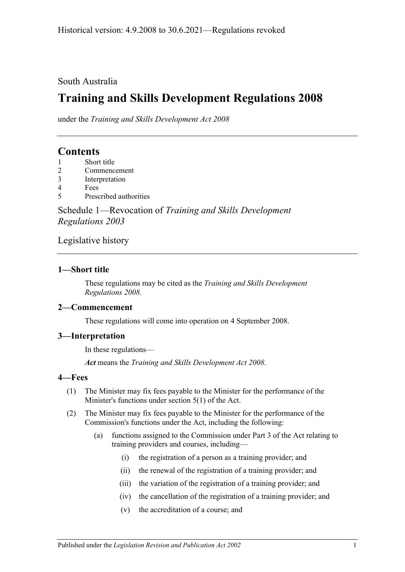### South Australia

# **Training and Skills Development Regulations 2008**

under the *Training and Skills Development Act 2008*

## **Contents**

- 1 [Short title](#page-0-0)
- 2 [Commencement](#page-0-1)
- 3 [Interpretation](#page-0-2)
- 4 [Fees](#page-0-3)
- 5 [Prescribed authorities](#page-1-0)

Schedule 1—Revocation of *[Training and Skills Development](#page-1-1)  [Regulations](#page-1-1) 2003*

### [Legislative history](#page-2-0)

#### <span id="page-0-0"></span>**1—Short title**

These regulations may be cited as the *Training and Skills Development Regulations 2008*.

#### <span id="page-0-1"></span>**2—Commencement**

These regulations will come into operation on 4 September 2008.

#### <span id="page-0-2"></span>**3—Interpretation**

In these regulations—

*Act* means the *[Training and Skills Development Act](http://www.legislation.sa.gov.au/index.aspx?action=legref&type=act&legtitle=Training%20and%20Skills%20Development%20Act%202008) 2008*.

#### <span id="page-0-3"></span>**4—Fees**

- (1) The Minister may fix fees payable to the Minister for the performance of the Minister's functions under section 5(1) of the Act.
- (2) The Minister may fix fees payable to the Minister for the performance of the Commission's functions under the Act, including the following:
	- (a) functions assigned to the Commission under Part 3 of the Act relating to training providers and courses, including—
		- (i) the registration of a person as a training provider; and
		- (ii) the renewal of the registration of a training provider; and
		- (iii) the variation of the registration of a training provider; and
		- (iv) the cancellation of the registration of a training provider; and
		- (v) the accreditation of a course; and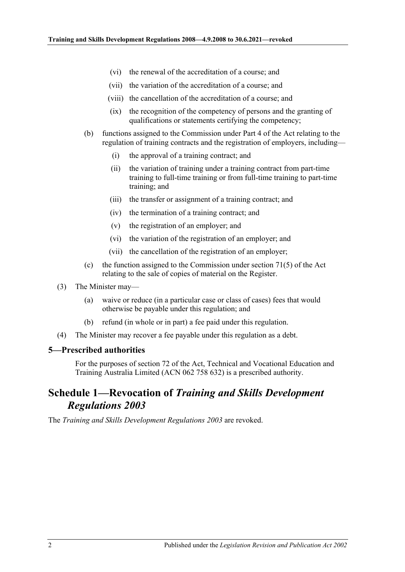- (vi) the renewal of the accreditation of a course; and
- (vii) the variation of the accreditation of a course; and
- (viii) the cancellation of the accreditation of a course; and
- (ix) the recognition of the competency of persons and the granting of qualifications or statements certifying the competency;
- (b) functions assigned to the Commission under Part 4 of the Act relating to the regulation of training contracts and the registration of employers, including—
	- (i) the approval of a training contract; and
	- (ii) the variation of training under a training contract from part-time training to full-time training or from full-time training to part-time training; and
	- (iii) the transfer or assignment of a training contract; and
	- (iv) the termination of a training contract; and
	- (v) the registration of an employer; and
	- (vi) the variation of the registration of an employer; and
	- (vii) the cancellation of the registration of an employer;
- (c) the function assigned to the Commission under section 71(5) of the Act relating to the sale of copies of material on the Register.
- (3) The Minister may—
	- (a) waive or reduce (in a particular case or class of cases) fees that would otherwise be payable under this regulation; and
	- (b) refund (in whole or in part) a fee paid under this regulation.
- (4) The Minister may recover a fee payable under this regulation as a debt.

#### <span id="page-1-0"></span>**5—Prescribed authorities**

For the purposes of section 72 of the Act, Technical and Vocational Education and Training Australia Limited (ACN 062 758 632) is a prescribed authority.

## <span id="page-1-1"></span>**Schedule 1—Revocation of** *Training and Skills Development Regulations 2003*

The *[Training and Skills Development Regulations](http://www.legislation.sa.gov.au/index.aspx?action=legref&type=subordleg&legtitle=Training%20and%20Skills%20Development%20Regulations%202003) 2003* are revoked.